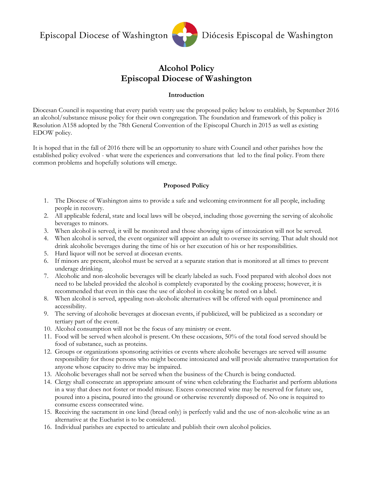

# **Alcohol Policy Episcopal Diocese of Washington**

### **Introduction**

Diocesan Council is requesting that every parish vestry use the proposed policy below to establish, by September 2016 an alcohol/substance misuse policy for their own congregation. The foundation and framework of this policy is Resolution A158 adopted by the 78th General Convention of the Episcopal Church in 2015 as well as existing EDOW policy.

It is hoped that in the fall of 2016 there will be an opportunity to share with Council and other parishes how the established policy evolved - what were the experiences and conversations that led to the final policy. From there common problems and hopefully solutions will emerge.

#### **Proposed Policy**

- 1. The Diocese of Washington aims to provide a safe and welcoming environment for all people, including people in recovery.
- 2. All applicable federal, state and local laws will be obeyed, including those governing the serving of alcoholic beverages to minors.
- 3. When alcohol is served, it will be monitored and those showing signs of intoxication will not be served.
- 4. When alcohol is served, the event organizer will appoint an adult to oversee its serving. That adult should not drink alcoholic beverages during the time of his or her execution of his or her responsibilities.
- 5. Hard liquor will not be served at diocesan events.
- 6. If minors are present, alcohol must be served at a separate station that is monitored at all times to prevent underage drinking.
- 7. Alcoholic and non-alcoholic beverages will be clearly labeled as such. Food prepared with alcohol does not need to be labeled provided the alcohol is completely evaporated by the cooking process; however, it is recommended that even in this case the use of alcohol in cooking be noted on a label.
- 8. When alcohol is served, appealing non-alcoholic alternatives will be offered with equal prominence and accessibility.
- 9. The serving of alcoholic beverages at diocesan events, if publicized, will be publicized as a secondary or tertiary part of the event.
- 10. Alcohol consumption will not be the focus of any ministry or event.
- 11. Food will be served when alcohol is present. On these occasions, 50% of the total food served should be food of substance, such as proteins.
- 12. Groups or organizations sponsoring activities or events where alcoholic beverages are served will assume responsibility for those persons who might become intoxicated and will provide alternative transportation for anyone whose capacity to drive may be impaired.
- 13. Alcoholic beverages shall not be served when the business of the Church is being conducted.
- 14. Clergy shall consecrate an appropriate amount of wine when celebrating the Eucharist and perform ablutions in a way that does not foster or model misuse. Excess consecrated wine may be reserved for future use, poured into a piscina, poured into the ground or otherwise reverently disposed of. No one is required to consume excess consecrated wine.
- 15. Receiving the sacrament in one kind (bread only) is perfectly valid and the use of non-alcoholic wine as an alternative at the Eucharist is to be considered.
- 16. Individual parishes are expected to articulate and publish their own alcohol policies.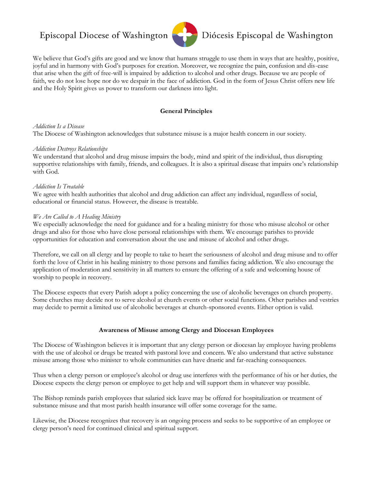# Episcopal Diocese of Washington



# Diócesis Episcopal de Washington

We believe that God's gifts are good and we know that humans struggle to use them in ways that are healthy, positive, joyful and in harmony with God's purposes for creation. Moreover, we recognize the pain, confusion and dis-ease that arise when the gift of free-will is impaired by addiction to alcohol and other drugs. Because we are people of faith, we do not lose hope nor do we despair in the face of addiction. God in the form of Jesus Christ offers new life and the Holy Spirit gives us power to transform our darkness into light.

### **General Principles**

#### *Addiction Is a Disease*

The Diocese of Washington acknowledges that substance misuse is a major health concern in our society.

#### *Addiction Destroys Relationships*

We understand that alcohol and drug misuse impairs the body, mind and spirit of the individual, thus disrupting supportive relationships with family, friends, and colleagues. It is also a spiritual disease that impairs one's relationship with God.

#### *Addiction Is Treatable*

We agree with health authorities that alcohol and drug addiction can affect any individual, regardless of social, educational or financial status. However, the disease is treatable.

#### *We Are Called to A Healing Ministry*

We especially acknowledge the need for guidance and for a healing ministry for those who misuse alcohol or other drugs and also for those who have close personal relationships with them. We encourage parishes to provide opportunities for education and conversation about the use and misuse of alcohol and other drugs.

Therefore, we call on all clergy and lay people to take to heart the seriousness of alcohol and drug misuse and to offer forth the love of Christ in his healing ministry to those persons and families facing addiction. We also encourage the application of moderation and sensitivity in all matters to ensure the offering of a safe and welcoming house of worship to people in recovery.

The Diocese expects that every Parish adopt a policy concerning the use of alcoholic beverages on church property. Some churches may decide not to serve alcohol at church events or other social functions. Other parishes and vestries may decide to permit a limited use of alcoholic beverages at church-sponsored events. Either option is valid.

#### **Awareness of Misuse among Clergy and Diocesan Employees**

The Diocese of Washington believes it is important that any clergy person or diocesan lay employee having problems with the use of alcohol or drugs be treated with pastoral love and concern. We also understand that active substance misuse among those who minister to whole communities can have drastic and far-reaching consequences.

Thus when a clergy person or employee's alcohol or drug use interferes with the performance of his or her duties, the Diocese expects the clergy person or employee to get help and will support them in whatever way possible.

The Bishop reminds parish employees that salaried sick leave may be offered for hospitalization or treatment of substance misuse and that most parish health insurance will offer some coverage for the same.

Likewise, the Diocese recognizes that recovery is an ongoing process and seeks to be supportive of an employee or clergy person's need for continued clinical and spiritual support.